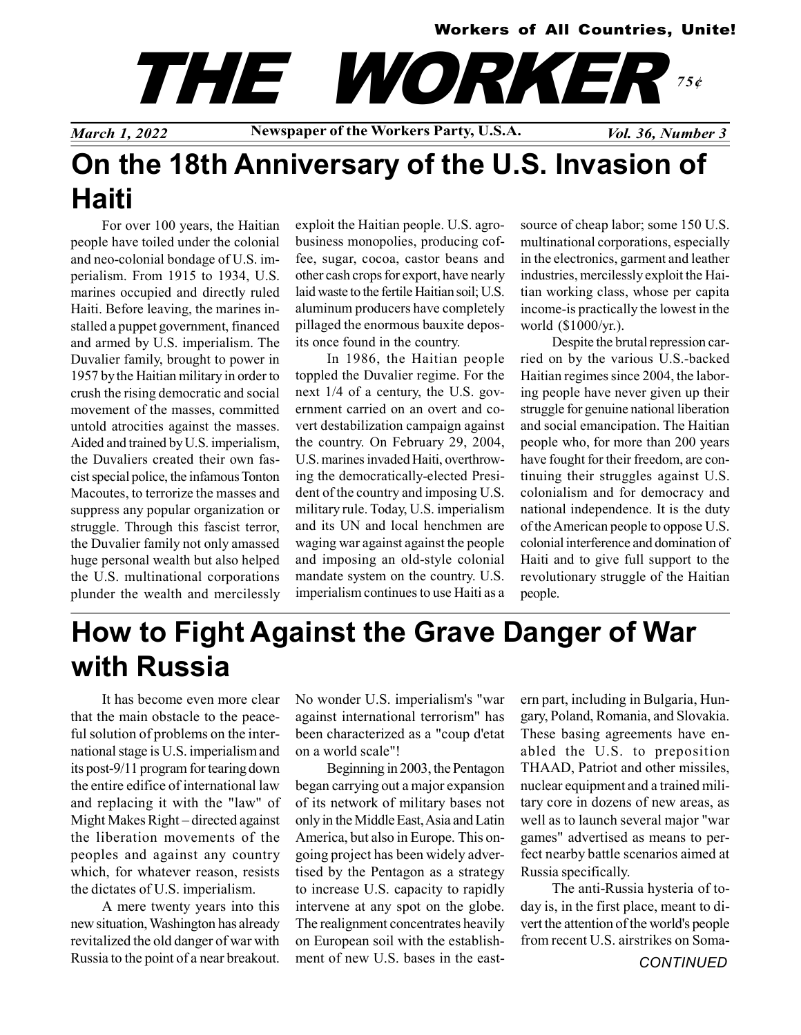#### Workers of All Countries, Unite!

# THE WORKER 75¢

March 1, 2022 Newspaper of the Workers Party, U.S.A. Vol. 36, Number 3

## On the 18th Anniversary of the U.S. Invasion of Haiti

For over 100 years, the Haitian people have toiled under the colonial and neo-colonial bondage of U.S. imperialism. From 1915 to 1934, U.S. marines occupied and directly ruled Haiti. Before leaving, the marines installed a puppet government, financed and armed by U.S. imperialism. The Duvalier family, brought to power in 1957 by the Haitian military in order to crush the rising democratic and social movement of the masses, committed untold atrocities against the masses. Aided and trained by U.S. imperialism, the Duvaliers created their own fascist special police, the infamous Tonton Macoutes, to terrorize the masses and suppress any popular organization or struggle. Through this fascist terror, the Duvalier family not only amassed huge personal wealth but also helped the U.S. multinational corporations plunder the wealth and mercilessly

exploit the Haitian people. U.S. agrobusiness monopolies, producing coffee, sugar, cocoa, castor beans and other cash crops for export, have nearly laid waste to the fertile Haitian soil; U.S. aluminum producers have completely pillaged the enormous bauxite deposits once found in the country.

In 1986, the Haitian people toppled the Duvalier regime. For the next 1/4 of a century, the U.S. government carried on an overt and covert destabilization campaign against the country. On February 29, 2004, U.S. marines invaded Haiti, overthrowing the democratically-elected President of the country and imposing U.S. military rule. Today, U.S. imperialism and its UN and local henchmen are waging war against against the people and imposing an old-style colonial mandate system on the country. U.S. imperialism continues to use Haiti as a source of cheap labor; some 150 U.S. multinational corporations, especially in the electronics, garment and leather industries, mercilessly exploit the Haitian working class, whose per capita income-is practically the lowest in the world (\$1000/yr.).

Despite the brutal repression carried on by the various U.S.-backed Haitian regimes since 2004, the laboring people have never given up their struggle for genuine national liberation and social emancipation. The Haitian people who, for more than 200 years have fought for their freedom, are continuing their struggles against U.S. colonialism and for democracy and national independence. It is the duty of the American people to oppose U.S. colonial interference and domination of Haiti and to give full support to the revolutionary struggle of the Haitian people.

## How to Fight Against the Grave Danger of War with Russia

It has become even more clear that the main obstacle to the peaceful solution of problems on the international stage is U.S. imperialism and its post-9/11 program for tearing down the entire edifice of international law and replacing it with the "law" of Might Makes Right – directed against the liberation movements of the peoples and against any country which, for whatever reason, resists the dictates of U.S. imperialism.

A mere twenty years into this new situation, Washington has already revitalized the old danger of war with Russia to the point of a near breakout. No wonder U.S. imperialism's "war against international terrorism" has been characterized as a "coup d'etat on a world scale"!

Beginning in 2003, the Pentagon began carrying out a major expansion of its network of military bases not only in the Middle East, Asia and Latin America, but also in Europe. This ongoing project has been widely advertised by the Pentagon as a strategy to increase U.S. capacity to rapidly intervene at any spot on the globe. The realignment concentrates heavily on European soil with the establishment of new U.S. bases in the eastern part, including in Bulgaria, Hungary, Poland, Romania, and Slovakia. These basing agreements have enabled the U.S. to preposition THAAD, Patriot and other missiles, nuclear equipment and a trained military core in dozens of new areas, as well as to launch several major "war games" advertised as means to perfect nearby battle scenarios aimed at Russia specifically.

The anti-Russia hysteria of today is, in the first place, meant to divert the attention of the world's people from recent U.S. airstrikes on Soma-